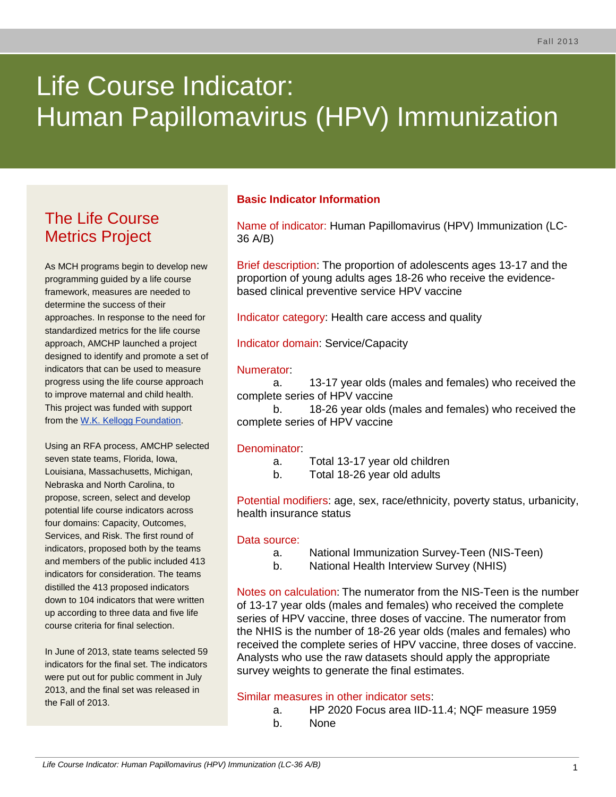# Life Course Indicator: Human Papillomavirus (HPV) Immunization

# The Life Course Metrics Project

As MCH programs begin to develop new programming guided by a life course framework, measures are needed to determine the success of their approaches. In response to the need for standardized metrics for the life course approach, AMCHP launched a project designed to identify and promote a set of indicators that can be used to measure progress using the life course approach to improve maternal and child health. This project was funded with support from the [W.K. Kellogg Foundation.](http://www.wkkf.org/)

Using an RFA process, AMCHP selected seven state teams, Florida, Iowa, Louisiana, Massachusetts, Michigan, Nebraska and North Carolina, to propose, screen, select and develop potential life course indicators across four domains: Capacity, Outcomes, Services, and Risk. The first round of indicators, proposed both by the teams and members of the public included 413 indicators for consideration. The teams distilled the 413 proposed indicators down to 104 indicators that were written up according to three data and five life course criteria for final selection.

In June of 2013, state teams selected 59 indicators for the final set. The indicators were put out for public comment in July 2013, and the final set was released in the Fall of 2013.

# **Basic Indicator Information**

Name of indicator: Human Papillomavirus (HPV) Immunization (LC-36 A/B)

Brief description: The proportion of adolescents ages 13-17 and the proportion of young adults ages 18-26 who receive the evidencebased clinical preventive service HPV vaccine

Indicator category: Health care access and quality

Indicator domain: Service/Capacity

#### Numerator:

a. 13-17 year olds (males and females) who received the complete series of HPV vaccine

b. 18-26 year olds (males and females) who received the complete series of HPV vaccine

#### Denominator:

- a. Total 13-17 year old children
- b. Total 18-26 year old adults

Potential modifiers: age, sex, race/ethnicity, poverty status, urbanicity, health insurance status

#### Data source:

- a. National Immunization Survey-Teen (NIS-Teen)
- b. National Health Interview Survey (NHIS)

Notes on calculation: The numerator from the NIS-Teen is the number of 13-17 year olds (males and females) who received the complete series of HPV vaccine, three doses of vaccine. The numerator from the NHIS is the number of 18-26 year olds (males and females) who received the complete series of HPV vaccine, three doses of vaccine. Analysts who use the raw datasets should apply the appropriate survey weights to generate the final estimates.

## Similar measures in other indicator sets:

- a. HP 2020 Focus area IID-11.4; NQF measure 1959
- b. None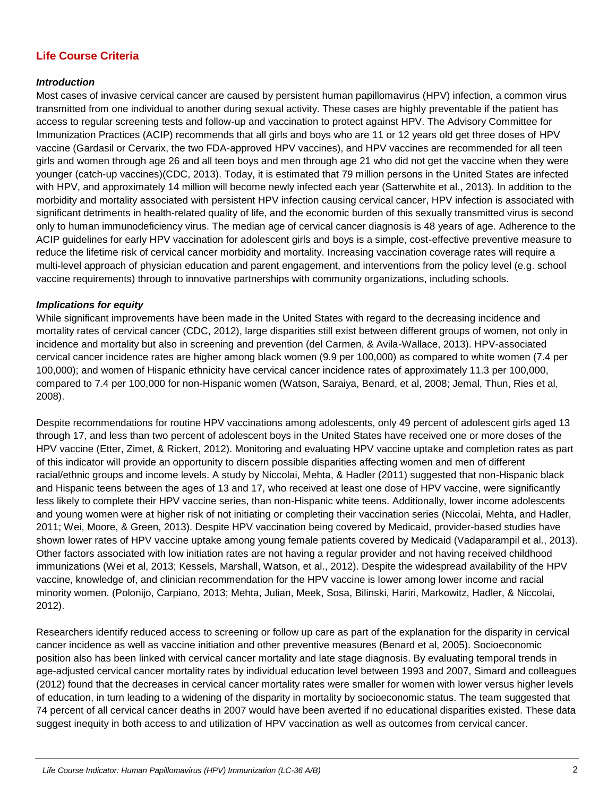# **Life Course Criteria**

#### *Introduction*

Most cases of invasive cervical cancer are caused by persistent human papillomavirus (HPV) infection, a common virus transmitted from one individual to another during sexual activity. These cases are highly preventable if the patient has access to regular screening tests and follow-up and vaccination to protect against HPV. The Advisory Committee for Immunization Practices (ACIP) recommends that all girls and boys who are 11 or 12 years old get three doses of HPV vaccine (Gardasil or Cervarix, the two FDA-approved HPV vaccines), and HPV vaccines are recommended for all teen girls and women through age 26 and all teen boys and men through age 21 who did not get the vaccine when they were younger (catch-up vaccines)(CDC, 2013). Today, it is estimated that 79 million persons in the United States are infected with HPV, and approximately 14 million will become newly infected each year (Satterwhite et al., 2013). In addition to the morbidity and mortality associated with persistent HPV infection causing cervical cancer, HPV infection is associated with significant detriments in health-related quality of life, and the economic burden of this sexually transmitted virus is second only to human immunodeficiency virus. The median age of cervical cancer diagnosis is 48 years of age. Adherence to the ACIP guidelines for early HPV vaccination for adolescent girls and boys is a simple, cost-effective preventive measure to reduce the lifetime risk of cervical cancer morbidity and mortality. Increasing vaccination coverage rates will require a multi-level approach of physician education and parent engagement, and interventions from the policy level (e.g. school vaccine requirements) through to innovative partnerships with community organizations, including schools.

#### *Implications for equity*

While significant improvements have been made in the United States with regard to the decreasing incidence and mortality rates of cervical cancer (CDC, 2012), large disparities still exist between different groups of women, not only in incidence and mortality but also in screening and prevention (del Carmen, & Avila-Wallace, 2013). HPV-associated cervical cancer incidence rates are higher among black women (9.9 per 100,000) as compared to white women (7.4 per 100,000); and women of Hispanic ethnicity have cervical cancer incidence rates of approximately 11.3 per 100,000, compared to 7.4 per 100,000 for non-Hispanic women (Watson, Saraiya, Benard, et al, 2008; Jemal, Thun, Ries et al, 2008).

Despite recommendations for routine HPV vaccinations among adolescents, only 49 percent of adolescent girls aged 13 through 17, and less than two percent of adolescent boys in the United States have received one or more doses of the HPV vaccine (Etter, Zimet, & Rickert, 2012). Monitoring and evaluating HPV vaccine uptake and completion rates as part of this indicator will provide an opportunity to discern possible disparities affecting women and men of different racial/ethnic groups and income levels. A study by Niccolai, Mehta, & Hadler (2011) suggested that non-Hispanic black and Hispanic teens between the ages of 13 and 17, who received at least one dose of HPV vaccine, were significantly less likely to complete their HPV vaccine series, than non-Hispanic white teens. Additionally, lower income adolescents and young women were at higher risk of not initiating or completing their vaccination series (Niccolai, Mehta, and Hadler, 2011; Wei, Moore, & Green, 2013). Despite HPV vaccination being covered by Medicaid, provider-based studies have shown lower rates of HPV vaccine uptake among young female patients covered by Medicaid (Vadaparampil et al., 2013). Other factors associated with low initiation rates are not having a regular provider and not having received childhood immunizations (Wei et al, 2013; Kessels, Marshall, Watson, et al., 2012). Despite the widespread availability of the HPV vaccine, knowledge of, and clinician recommendation for the HPV vaccine is lower among lower income and racial minority women. (Polonijo, Carpiano, 2013; Mehta, Julian, Meek, Sosa, Bilinski, Hariri, Markowitz, Hadler, & Niccolai, 2012).

Researchers identify reduced access to screening or follow up care as part of the explanation for the disparity in cervical cancer incidence as well as vaccine initiation and other preventive measures (Benard et al, 2005). Socioeconomic position also has been linked with cervical cancer mortality and late stage diagnosis. By evaluating temporal trends in age-adjusted cervical cancer mortality rates by individual education level between 1993 and 2007, Simard and colleagues (2012) found that the decreases in cervical cancer mortality rates were smaller for women with lower versus higher levels of education, in turn leading to a widening of the disparity in mortality by socioeconomic status. The team suggested that 74 percent of all cervical cancer deaths in 2007 would have been averted if no educational disparities existed. These data suggest inequity in both access to and utilization of HPV vaccination as well as outcomes from cervical cancer.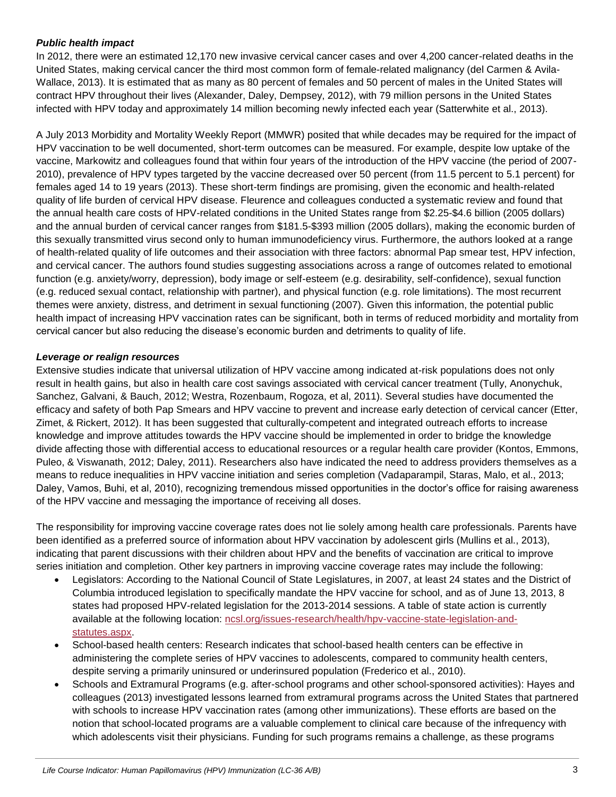#### *Public health impact*

In 2012, there were an estimated 12,170 new invasive cervical cancer cases and over 4,200 cancer-related deaths in the United States, making cervical cancer the third most common form of female-related malignancy (del Carmen & Avila-Wallace, 2013). It is estimated that as many as 80 percent of females and 50 percent of males in the United States will contract HPV throughout their lives (Alexander, Daley, Dempsey, 2012), with 79 million persons in the United States infected with HPV today and approximately 14 million becoming newly infected each year (Satterwhite et al., 2013).

A July 2013 Morbidity and Mortality Weekly Report (MMWR) posited that while decades may be required for the impact of HPV vaccination to be well documented, short-term outcomes can be measured. For example, despite low uptake of the vaccine, Markowitz and colleagues found that within four years of the introduction of the HPV vaccine (the period of 2007- 2010), prevalence of HPV types targeted by the vaccine decreased over 50 percent (from 11.5 percent to 5.1 percent) for females aged 14 to 19 years (2013). These short-term findings are promising, given the economic and health-related quality of life burden of cervical HPV disease. Fleurence and colleagues conducted a systematic review and found that the annual health care costs of HPV-related conditions in the United States range from \$2.25-\$4.6 billion (2005 dollars) and the annual burden of cervical cancer ranges from \$181.5-\$393 million (2005 dollars), making the economic burden of this sexually transmitted virus second only to human immunodeficiency virus. Furthermore, the authors looked at a range of health-related quality of life outcomes and their association with three factors: abnormal Pap smear test, HPV infection, and cervical cancer. The authors found studies suggesting associations across a range of outcomes related to emotional function (e.g. anxiety/worry, depression), body image or self-esteem (e.g. desirability, self-confidence), sexual function (e.g. reduced sexual contact, relationship with partner), and physical function (e.g. role limitations). The most recurrent themes were anxiety, distress, and detriment in sexual functioning (2007). Given this information, the potential public health impact of increasing HPV vaccination rates can be significant, both in terms of reduced morbidity and mortality from cervical cancer but also reducing the disease's economic burden and detriments to quality of life.

#### *Leverage or realign resources*

Extensive studies indicate that universal utilization of HPV vaccine among indicated at-risk populations does not only result in health gains, but also in health care cost savings associated with cervical cancer treatment (Tully, Anonychuk, Sanchez, Galvani, & Bauch, 2012; Westra, Rozenbaum, Rogoza, et al, 2011). Several studies have documented the efficacy and safety of both Pap Smears and HPV vaccine to prevent and increase early detection of cervical cancer (Etter, Zimet, & Rickert, 2012). It has been suggested that culturally-competent and integrated outreach efforts to increase knowledge and improve attitudes towards the HPV vaccine should be implemented in order to bridge the knowledge divide affecting those with differential access to educational resources or a regular health care provider (Kontos, Emmons, Puleo, & Viswanath, 2012; Daley, 2011). Researchers also have indicated the need to address providers themselves as a means to reduce inequalities in HPV vaccine initiation and series completion (Vadaparampil, Staras, Malo, et al., 2013; Daley, Vamos, Buhi, et al, 2010), recognizing tremendous missed opportunities in the doctor's office for raising awareness of the HPV vaccine and messaging the importance of receiving all doses.

The responsibility for improving vaccine coverage rates does not lie solely among health care professionals. Parents have been identified as a preferred source of information about HPV vaccination by adolescent girls (Mullins et al., 2013), indicating that parent discussions with their children about HPV and the benefits of vaccination are critical to improve series initiation and completion. Other key partners in improving vaccine coverage rates may include the following:

- Legislators: According to the National Council of State Legislatures, in 2007, at least 24 states and the District of Columbia introduced legislation to specifically mandate the HPV vaccine for school, and as of June 13, 2013, 8 states had proposed HPV-related legislation for the 2013-2014 sessions. A table of state action is currently available at the following location: [ncsl.org/issues-research/health/hpv-vaccine-state-legislation-and](http://www.ncsl.org/issues-research/health/hpv-vaccine-state-legislation-and-statutes.aspx)[statutes.aspx.](http://www.ncsl.org/issues-research/health/hpv-vaccine-state-legislation-and-statutes.aspx)
- School-based health centers: Research indicates that school-based health centers can be effective in administering the complete series of HPV vaccines to adolescents, compared to community health centers, despite serving a primarily uninsured or underinsured population (Frederico et al., 2010).
- Schools and Extramural Programs (e.g. after-school programs and other school-sponsored activities): Hayes and colleagues (2013) investigated lessons learned from extramural programs across the United States that partnered with schools to increase HPV vaccination rates (among other immunizations). These efforts are based on the notion that school-located programs are a valuable complement to clinical care because of the infrequency with which adolescents visit their physicians. Funding for such programs remains a challenge, as these programs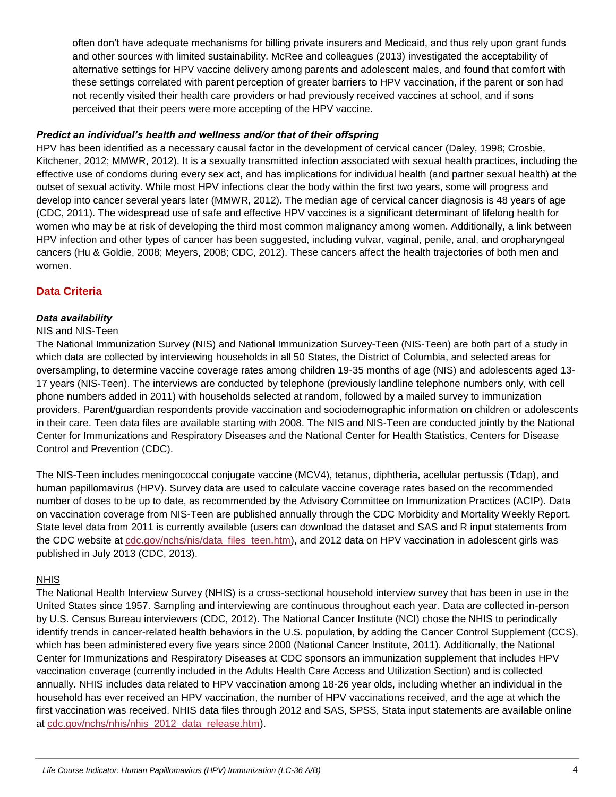often don't have adequate mechanisms for billing private insurers and Medicaid, and thus rely upon grant funds and other sources with limited sustainability. McRee and colleagues (2013) investigated the acceptability of alternative settings for HPV vaccine delivery among parents and adolescent males, and found that comfort with these settings correlated with parent perception of greater barriers to HPV vaccination, if the parent or son had not recently visited their health care providers or had previously received vaccines at school, and if sons perceived that their peers were more accepting of the HPV vaccine.

#### *Predict an individual's health and wellness and/or that of their offspring*

HPV has been identified as a necessary causal factor in the development of cervical cancer (Daley, 1998; Crosbie, Kitchener, 2012; MMWR, 2012). It is a sexually transmitted infection associated with sexual health practices, including the effective use of condoms during every sex act, and has implications for individual health (and partner sexual health) at the outset of sexual activity. While most HPV infections clear the body within the first two years, some will progress and develop into cancer several years later (MMWR, 2012). The median age of cervical cancer diagnosis is 48 years of age (CDC, 2011). The widespread use of safe and effective HPV vaccines is a significant determinant of lifelong health for women who may be at risk of developing the third most common malignancy among women. Additionally, a link between HPV infection and other types of cancer has been suggested, including vulvar, vaginal, penile, anal, and oropharyngeal cancers (Hu & Goldie, 2008; Meyers, 2008; CDC, 2012). These cancers affect the health trajectories of both men and women.

## **Data Criteria**

#### *Data availability*

#### NIS and NIS-Teen

The National Immunization Survey (NIS) and National Immunization Survey-Teen (NIS-Teen) are both part of a study in which data are collected by interviewing households in all 50 States, the District of Columbia, and selected areas for oversampling, to determine vaccine coverage rates among children 19-35 months of age (NIS) and adolescents aged 13- 17 years (NIS-Teen). The interviews are conducted by telephone (previously landline telephone numbers only, with cell phone numbers added in 2011) with households selected at random, followed by a mailed survey to immunization providers. Parent/guardian respondents provide vaccination and sociodemographic information on children or adolescents in their care. Teen data files are available starting with 2008. The NIS and NIS-Teen are conducted jointly by the National Center for Immunizations and Respiratory Diseases and the National Center for Health Statistics, Centers for Disease Control and Prevention (CDC).

The NIS-Teen includes meningococcal conjugate vaccine (MCV4), tetanus, diphtheria, acellular pertussis (Tdap), and human papillomavirus (HPV). Survey data are used to calculate vaccine coverage rates based on the recommended number of doses to be up to date, as recommended by the Advisory Committee on Immunization Practices (ACIP). Data on vaccination coverage from NIS-Teen are published annually through the CDC Morbidity and Mortality Weekly Report. State level data from 2011 is currently available (users can download the dataset and SAS and R input statements from the CDC website at [cdc.gov/nchs/nis/data\\_files\\_teen.htm\)](http://www.cdc.gov/nchs/nis/data_files_teen.htm), and 2012 data on HPV vaccination in adolescent girls was published in July 2013 (CDC, 2013).

#### NHIS

The National Health Interview Survey (NHIS) is a cross-sectional household interview survey that has been in use in the United States since 1957. Sampling and interviewing are continuous throughout each year. Data are collected in-person by U.S. Census Bureau interviewers (CDC, 2012). The National Cancer Institute (NCI) chose the NHIS to periodically identify trends in cancer-related health behaviors in the U.S. population, by adding the Cancer Control Supplement (CCS), which has been administered every five years since 2000 (National Cancer Institute, 2011). Additionally, the National Center for Immunizations and Respiratory Diseases at CDC sponsors an immunization supplement that includes HPV vaccination coverage (currently included in the Adults Health Care Access and Utilization Section) and is collected annually. NHIS includes data related to HPV vaccination among 18-26 year olds, including whether an individual in the household has ever received an HPV vaccination, the number of HPV vaccinations received, and the age at which the first vaccination was received. NHIS data files through 2012 and SAS, SPSS, Stata input statements are available online at [cdc.gov/nchs/nhis/nhis\\_2012\\_data\\_release.htm\)](http://www.cdc.gov/nchs/nhis/nhis_2012_data_release.htm).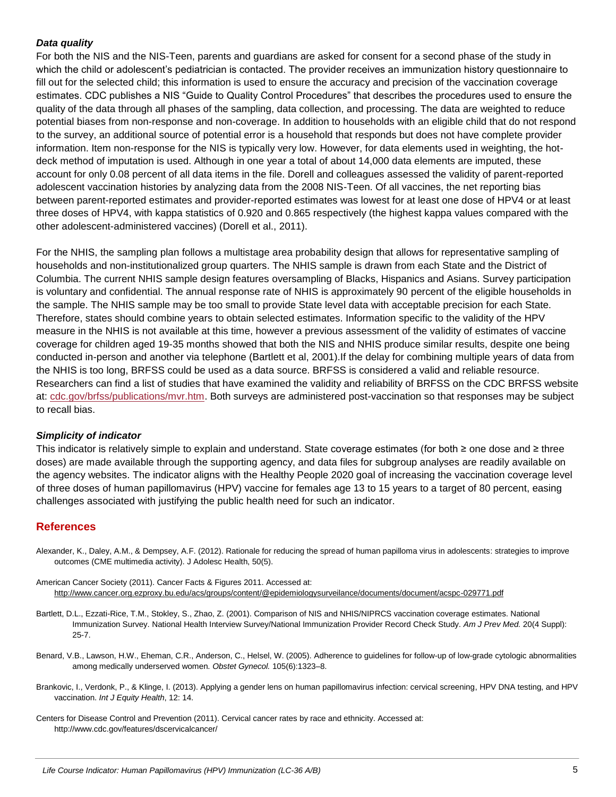#### *Data quality*

For both the NIS and the NIS-Teen, parents and guardians are asked for consent for a second phase of the study in which the child or adolescent's pediatrician is contacted. The provider receives an immunization history questionnaire to fill out for the selected child; this information is used to ensure the accuracy and precision of the vaccination coverage estimates. CDC publishes a NIS "Guide to Quality Control Procedures" that describes the procedures used to ensure the quality of the data through all phases of the sampling, data collection, and processing. The data are weighted to reduce potential biases from non-response and non-coverage. In addition to households with an eligible child that do not respond to the survey, an additional source of potential error is a household that responds but does not have complete provider information. Item non-response for the NIS is typically very low. However, for data elements used in weighting, the hotdeck method of imputation is used. Although in one year a total of about 14,000 data elements are imputed, these account for only 0.08 percent of all data items in the file. Dorell and colleagues assessed the validity of parent-reported adolescent vaccination histories by analyzing data from the 2008 NIS-Teen. Of all vaccines, the net reporting bias between parent-reported estimates and provider-reported estimates was lowest for at least one dose of HPV4 or at least three doses of HPV4, with kappa statistics of 0.920 and 0.865 respectively (the highest kappa values compared with the other adolescent-administered vaccines) (Dorell et al., 2011).

For the NHIS, the sampling plan follows a multistage area probability design that allows for representative sampling of households and non-institutionalized group quarters. The NHIS sample is drawn from each State and the District of Columbia. The current NHIS sample design features oversampling of Blacks, Hispanics and Asians. Survey participation is voluntary and confidential. The annual response rate of NHIS is approximately 90 percent of the eligible households in the sample. The NHIS sample may be too small to provide State level data with acceptable precision for each State. Therefore, states should combine years to obtain selected estimates. Information specific to the validity of the HPV measure in the NHIS is not available at this time, however a previous assessment of the validity of estimates of vaccine coverage for children aged 19-35 months showed that both the NIS and NHIS produce similar results, despite one being conducted in-person and another via telephone (Bartlett et al, 2001).If the delay for combining multiple years of data from the NHIS is too long, BRFSS could be used as a data source. BRFSS is considered a valid and reliable resource. Researchers can find a list of studies that have examined the validity and reliability of BRFSS on the CDC BRFSS website at: [cdc.gov/brfss/publications/mvr.htm.](http://www.cdc.gov/brfss/publications/mvr.htm) Both surveys are administered post-vaccination so that responses may be subject to recall bias.

#### *Simplicity of indicator*

This indicator is relatively simple to explain and understand. State coverage estimates (for both ≥ one dose and ≥ three doses) are made available through the supporting agency, and data files for subgroup analyses are readily available on the agency websites. The indicator aligns with the Healthy People 2020 goal of increasing the vaccination coverage level of three doses of human papillomavirus (HPV) vaccine for females age 13 to 15 years to a target of 80 percent, easing challenges associated with justifying the public health need for such an indicator.

#### **References**

- Alexander, K., Daley, A.M., & Dempsey, A.F. (2012). Rationale for reducing the spread of human papilloma virus in adolescents: strategies to improve outcomes (CME multimedia activity). J Adolesc Health, 50(5).
- American Cancer Society (2011). Cancer Facts & Figures 2011. Accessed at: <http://www.cancer.org.ezproxy.bu.edu/acs/groups/content/@epidemiologysurveilance/documents/document/acspc-029771.pdf>
- Bartlett, D.L., Ezzati-Rice, T.M., Stokley, S., Zhao, Z. (2001). Comparison of NIS and NHIS/NIPRCS vaccination coverage estimates. National Immunization Survey. National Health Interview Survey/National Immunization Provider Record Check Study. *Am J Prev Med.* 20(4 Suppl): 25-7.
- Benard, V.B., Lawson, H.W., Eheman, C.R., Anderson, C., Helsel, W. (2005). Adherence to guidelines for follow-up of low-grade cytologic abnormalities among medically underserved women. *Obstet Gynecol.* 105(6):1323–8.
- Brankovic, I., Verdonk, P., & Klinge, I. (2013). Applying a gender lens on human papillomavirus infection: cervical screening, HPV DNA testing, and HPV vaccination. *Int J Equity Health*, 12: 14.
- Centers for Disease Control and Prevention (2011). Cervical cancer rates by race and ethnicity. Accessed at: http://www.cdc.gov/features/dscervicalcancer/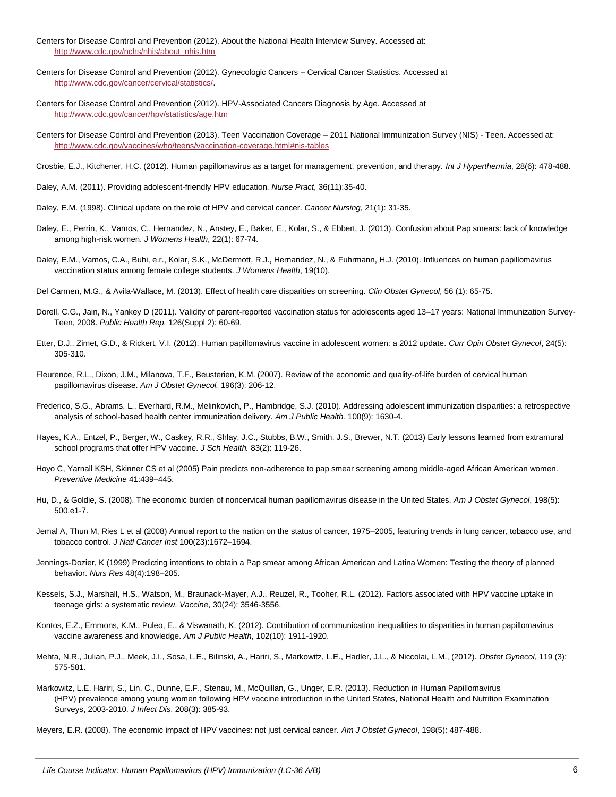- Centers for Disease Control and Prevention (2012). About the National Health Interview Survey. Accessed at: [http://www.cdc.gov/nchs/nhis/about\\_nhis.htm](http://www.cdc.gov/nchs/nhis/about_nhis.htm)
- Centers for Disease Control and Prevention (2012). Gynecologic Cancers Cervical Cancer Statistics. Accessed at [http://www.cdc.gov/cancer/cervical/statistics/.](http://www.cdc.gov/cancer/cervical/statistics/)
- Centers for Disease Control and Prevention (2012). HPV-Associated Cancers Diagnosis by Age. Accessed at <http://www.cdc.gov/cancer/hpv/statistics/age.htm>
- Centers for Disease Control and Prevention (2013). Teen Vaccination Coverage 2011 National Immunization Survey (NIS) Teen. Accessed at: <http://www.cdc.gov/vaccines/who/teens/vaccination-coverage.html#nis-tables>
- Crosbie, E.J., Kitchener, H.C. (2012). Human papillomavirus as a target for management, prevention, and therapy. *Int J Hyperthermia*, 28(6): 478-488.
- Daley, A.M. (2011). Providing adolescent-friendly HPV education. *Nurse Pract*, 36(11):35-40.
- Daley, E.M. (1998). Clinical update on the role of HPV and cervical cancer. *Cancer Nursing*, 21(1): 31-35.
- Daley, E., Perrin, K., Vamos, C., Hernandez, N., Anstey, E., Baker, E., Kolar, S., & Ebbert, J. (2013). Confusion about Pap smears: lack of knowledge among high-risk women. *J Womens Health*, 22(1): 67-74.
- Daley, E.M., Vamos, C.A., Buhi, e.r., Kolar, S.K., McDermott, R.J., Hernandez, N., & Fuhrmann, H.J. (2010). Influences on human papillomavirus vaccination status among female college students. *J Womens Health*, 19(10).
- Del Carmen, M.G., & Avila-Wallace, M. (2013). Effect of health care disparities on screening. *Clin Obstet Gynecol*, 56 (1): 65-75.
- Dorell, C.G., Jain, N., Yankey D (2011). Validity of parent-reported vaccination status for adolescents aged 13–17 years: National Immunization Survey-Teen, 2008. *Public Health Rep.* 126(Suppl 2): 60-69.
- Etter, D.J., Zimet, G.D., & Rickert, V.I. (2012). Human papillomavirus vaccine in adolescent women: a 2012 update. *Curr Opin Obstet Gynecol*, 24(5): 305-310.
- Fleurence, R.L., Dixon, J.M., Milanova, T.F., Beusterien, K.M. (2007). Review of the economic and quality-of-life burden of cervical human papillomavirus disease. *Am J Obstet Gynecol.* 196(3): 206-12.
- Frederico, S.G., Abrams, L., Everhard, R.M., Melinkovich, P., Hambridge, S.J. (2010). Addressing adolescent immunization disparities: a retrospective analysis of school-based health center immunization delivery. *Am J Public Health.* 100(9): 1630-4.
- Hayes, K.A., Entzel, P., Berger, W., Caskey, R.R., Shlay, J.C., Stubbs, B.W., Smith, J.S., Brewer, N.T. (2013) Early lessons learned from extramural school programs that offer HPV vaccine. *J Sch Health.* 83(2): 119-26.
- Hoyo C, Yarnall KSH, Skinner CS et al (2005) Pain predicts non-adherence to pap smear screening among middle-aged African American women. *Preventive Medicine* 41:439–445.
- Hu, D., & Goldie, S. (2008). The economic burden of noncervical human papillomavirus disease in the United States. *Am J Obstet Gynecol*, 198(5): 500.e1-7.
- Jemal A, Thun M, Ries L et al (2008) Annual report to the nation on the status of cancer, 1975–2005, featuring trends in lung cancer, tobacco use, and tobacco control. *J Natl Cancer Inst* 100(23):1672–1694.
- Jennings-Dozier, K (1999) Predicting intentions to obtain a Pap smear among African American and Latina Women: Testing the theory of planned behavior. *Nurs Res* 48(4):198–205.
- Kessels, S.J., Marshall, H.S., Watson, M., Braunack-Mayer, A.J., Reuzel, R., Tooher, R.L. (2012). Factors associated with HPV vaccine uptake in teenage girls: a systematic review. *Vaccine*, 30(24): 3546-3556.
- Kontos, E.Z., Emmons, K.M., Puleo, E., & Viswanath, K. (2012). Contribution of communication inequalities to disparities in human papillomavirus vaccine awareness and knowledge. *Am J Public Health*, 102(10): 1911-1920.
- Mehta, N.R., Julian, P.J., Meek, J.I., Sosa, L.E., Bilinski, A., Hariri, S., Markowitz, L.E., Hadler, J.L., & Niccolai, L.M., (2012). *Obstet Gynecol*, 119 (3): 575-581.
- Markowitz, L.E, Hariri, S., Lin, C., Dunne, E.F., Stenau, M., McQuillan, G., Unger, E.R. (2013). Reduction in Human Papillomavirus (HPV) prevalence among young women following HPV vaccine introduction in the United States, National Health and Nutrition Examination Surveys, 2003-2010. *J Infect Dis*. 208(3): 385-93.

Meyers, E.R. (2008). The economic impact of HPV vaccines: not just cervical cancer. *Am J Obstet Gynecol*, 198(5): 487-488.